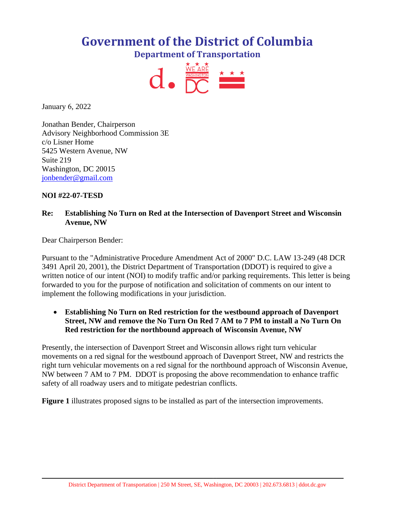# **Government of the District of Columbia Department of Transportation**



January 6, 2022

Jonathan Bender, Chairperson Advisory Neighborhood Commission 3E c/o Lisner Home 5425 Western Avenue, NW Suite 219 Washington, DC 20015 [jonbender@gmail.com](mailto:jonbender@gmail.com)

# **NOI #22-07-TESD**

# **Re: Establishing No Turn on Red at the Intersection of Davenport Street and Wisconsin Avenue, NW**

Dear Chairperson Bender:

Pursuant to the "Administrative Procedure Amendment Act of 2000" D.C. LAW 13-249 (48 DCR 3491 April 20, 2001), the District Department of Transportation (DDOT) is required to give a written notice of our intent (NOI) to modify traffic and/or parking requirements. This letter is being forwarded to you for the purpose of notification and solicitation of comments on our intent to implement the following modifications in your jurisdiction.

• **Establishing No Turn on Red restriction for the westbound approach of Davenport Street, NW and remove the No Turn On Red 7 AM to 7 PM to install a No Turn On Red restriction for the northbound approach of Wisconsin Avenue, NW**

Presently, the intersection of Davenport Street and Wisconsin allows right turn vehicular movements on a red signal for the westbound approach of Davenport Street, NW and restricts the right turn vehicular movements on a red signal for the northbound approach of Wisconsin Avenue, NW between 7 AM to 7 PM. DDOT is proposing the above recommendation to enhance traffic safety of all roadway users and to mitigate pedestrian conflicts.

**Figure 1** illustrates proposed signs to be installed as part of the intersection improvements.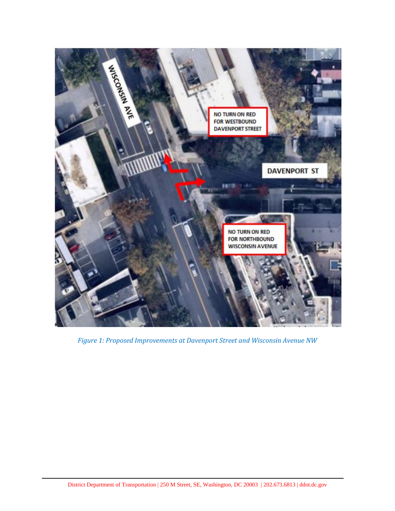

*Figure 1: Proposed Improvements at Davenport Street and Wisconsin Avenue NW*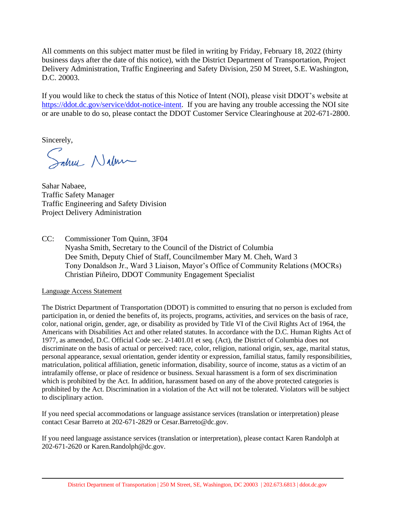All comments on this subject matter must be filed in writing by Friday, February 18, 2022 (thirty business days after the date of this notice), with the District Department of Transportation, Project Delivery Administration, Traffic Engineering and Safety Division, 250 M Street, S.E. Washington, D.C. 20003.

If you would like to check the status of this Notice of Intent (NOI), please visit DDOT's website at [https://ddot.dc.gov/service/ddot-notice-intent.](https://ddot.dc.gov/service/ddot-notice-intent) If you are having any trouble accessing the NOI site or are unable to do so, please contact the DDOT Customer Service Clearinghouse at 202-671-2800.

Sincerely,

Salve Nalma

Sahar Nabaee, Traffic Safety Manager Traffic Engineering and Safety Division Project Delivery Administration

CC: Commissioner Tom Quinn, 3F04 Nyasha Smith, Secretary to the Council of the District of Columbia Dee Smith, Deputy Chief of Staff, Councilmember Mary M. Cheh, Ward 3 Tony Donaldson Jr., Ward 3 Liaison, Mayor's Office of Community Relations (MOCRs) Christian Piñeiro, DDOT Community Engagement Specialist

Language Access Statement

The District Department of Transportation (DDOT) is committed to ensuring that no person is excluded from participation in, or denied the benefits of, its projects, programs, activities, and services on the basis of race, color, national origin, gender, age, or disability as provided by Title VI of the Civil Rights Act of 1964, the Americans with Disabilities Act and other related statutes. In accordance with the D.C. Human Rights Act of 1977, as amended, D.C. Official Code sec. 2-1401.01 et seq. (Act), the District of Columbia does not discriminate on the basis of actual or perceived: race, color, religion, national origin, sex, age, marital status, personal appearance, sexual orientation, gender identity or expression, familial status, family responsibilities, matriculation, political affiliation, genetic information, disability, source of income, status as a victim of an intrafamily offense, or place of residence or business. Sexual harassment is a form of sex discrimination which is prohibited by the Act. In addition, harassment based on any of the above protected categories is prohibited by the Act. Discrimination in a violation of the Act will not be tolerated. Violators will be subject to disciplinary action.

If you need special accommodations or language assistance services (translation or interpretation) please contact Cesar Barreto at 202-671-2829 or Cesar.Barreto@dc.gov.

If you need language assistance services (translation or interpretation), please contact Karen Randolph at 202-671-2620 or Karen.Randolph@dc.gov.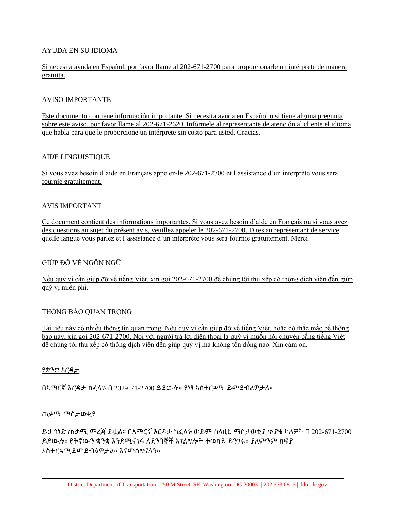## AYUDA EN SU IDIOMA

Si necesita ayuda en Español, por favor llame al 202-671-2700 para proporcionarle un intérprete de manera gratuita.

#### AVISO IMPORTANTE

Este documento contiene información importante. Si necesita ayuda en Español o si tiene alguna pregunta sobre este aviso, por favor llame al 202-671-2620. Infórmele al representante de atención al cliente el idioma que habla para que le proporcione un intérprete sin costo para usted. Gracias.

#### AIDE LINGUISTIQUE

Si vous avez besoin d'aide en Français appelez-le 202-671-2700 et l'assistance d'un interprète vous sera fournie gratuitement.

## AVIS IMPORTANT

Ce document contient des informations importantes. Si vous avez besoin d'aide en Français ou si vous avez des questions au sujet du présent avis, veuillez appeler le 202-671-2700. Dites au représentant de service quelle langue vous parlez et l'assistance d'un interprète vous sera fournie gratuitement. Merci.

# GIÚP ĐỠ VỀ NGÔN NGỮ

Nếu quý vị cần giúp đỡ về tiếng Việt, xin gọi 202-671-2700 để chúng tôi thu xếp có thông dịch viên đến giúp quý vị miễn phí.

# THÔNG BÁO QUAN TRỌNG

Tài liệu này có nhiều thông tin quan trọng. Nếu quý vị cần giúp đỡ về tiếng Việt, hoặc có thắc mắc bề thông báo này, xin gọi 202-671-2700. Nói với người trả lời điện thoại là quý vị muốn nói chuyện bằng tiếng Việt để chúng tôi thu xếp có thông dịch viên đến giúp quý vị mà không tốn đồng nào. Xin cảm ơn.

#### የቋንቋ እርዳታ

በአማርኛ እርዳታ ከፈለጉ በ 202-671-2700 ይደውሉ። የነፃ አስተርጓሚ ይመደብልዎታል።

#### ጠቃሚ ማስታወቂያ

ይህ ሰነድ ጠቃሚ መረጃ ይዟል። በአማርኛ እርዳታ ከፈለጉ ወይም ስለዚህ ማስታወቂያ ጥያቄ ካለዎት በ 202-671-2700 ይደውሉ። የትኛውን ቋንቋ እንደሚናገሩ ለደንበኞች አገልግሎት ተወካይ ይንገሩ። ያለምንም ክፍያ አስተርጓሚይመደብልዎታል። እናመሰግናለን።